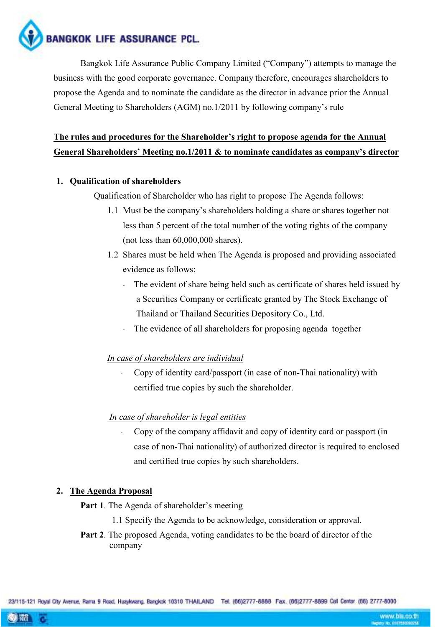BANGKOK LIFE ASSURANCE PCL.

 Bangkok Life Assurance Public Company Limited ("Company") attempts to manage the business with the good corporate governance. Company therefore, encourages shareholders to propose the Agenda and to nominate the candidate as the director in advance prior the Annual General Meeting to Shareholders (AGM) no.1/2011 by following company's rule

# The rules and procedures for the Shareholder's right to propose agenda for the Annual General Shareholders' Meeting no.1/2011 & to nominate candidates as company's director

## 1. Qualification of shareholders

Qualification of Shareholder who has right to propose The Agenda follows:

- 1.1 Must be the company's shareholders holding a share or shares together not less than 5 percent of the total number of the voting rights of the company (not less than 60,000,000 shares).
- 1.2 Shares must be held when The Agenda is proposed and providing associated evidence as follows:
	- The evident of share being held such as certificate of shares held issued by a Securities Company or certificate granted by The Stock Exchange of Thailand or Thailand Securities Depository Co., Ltd.
	- The evidence of all shareholders for proposing agenda together

### In case of shareholders are individual

- Copy of identity card/passport (in case of non-Thai nationality) with certified true copies by such the shareholder.

### In case of shareholder is legal entities

- Copy of the company affidavit and copy of identity card or passport (in case of non-Thai nationality) of authorized director is required to enclosed and certified true copies by such shareholders.

### 2. The Agenda Proposal

- Part 1. The Agenda of shareholder's meeting
	- 1.1 Specify the Agenda to be acknowledge, consideration or approval.
- Part 2. The proposed Agenda, voting candidates to be the board of director of the company

23/115-121 Royal City Avenue, Rama 9 Road, Huaykwang, Bangkok 10310 THAILAND Tel: (66)2777-8888 Fax, (66)2777-8899 Call Center (66) 2777-8000

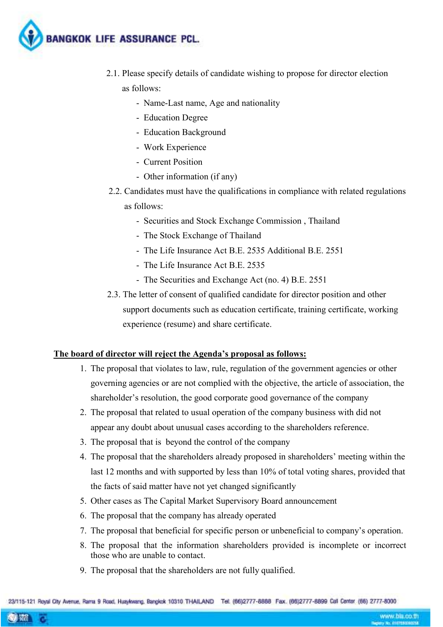

- 2.1. Please specify details of candidate wishing to propose for director election as follows:
	- Name-Last name, Age and nationality
	- Education Degree
	- Education Background
	- Work Experience
	- Current Position
	- Other information (if any)
- 2.2. Candidates must have the qualifications in compliance with related regulations as follows:
	- Securities and Stock Exchange Commission , Thailand
	- The Stock Exchange of Thailand
	- The Life Insurance Act B.E. 2535 Additional B.E. 2551
	- The Life Insurance Act B.E. 2535
	- The Securities and Exchange Act (no. 4) B.E. 2551
- 2.3. The letter of consent of qualified candidate for director position and other support documents such as education certificate, training certificate, working experience (resume) and share certificate.

### The board of director will reject the Agenda's proposal as follows:

- 1. The proposal that violates to law, rule, regulation of the government agencies or other governing agencies or are not complied with the objective, the article of association, the shareholder's resolution, the good corporate good governance of the company
- 2. The proposal that related to usual operation of the company business with did not appear any doubt about unusual cases according to the shareholders reference.
- 3. The proposal that is beyond the control of the company
- 4. The proposal that the shareholders already proposed in shareholders' meeting within the last 12 months and with supported by less than 10% of total voting shares, provided that the facts of said matter have not yet changed significantly
- 5. Other cases as The Capital Market Supervisory Board announcement
- 6. The proposal that the company has already operated
- 7. The proposal that beneficial for specific person or unbeneficial to company's operation.
- 8. The proposal that the information shareholders provided is incomplete or incorrect those who are unable to contact.
- 9. The proposal that the shareholders are not fully qualified.

23/115-121 Royal City Avenue, Rama 9 Road, Huaykwang, Bangkok 10310 THAILAND Tel: (66)2777-8888 Fax, (66)2777-8899 Call Center (66) 2777-8000